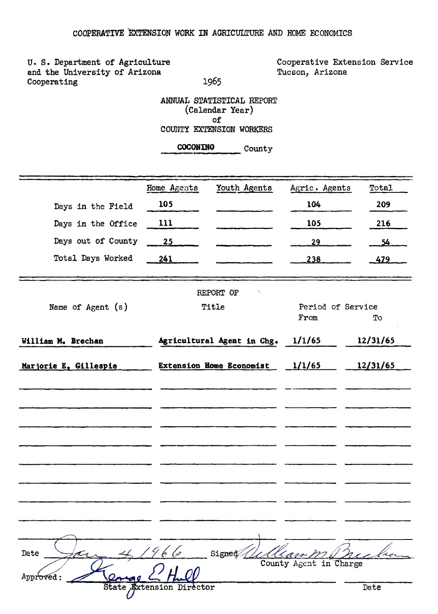1965

U. S. Department of Agriculture and the University of Arizona Cooperating

Cooperative Extension Service Tucson, Arizona

ANNUAL STATISTICAL REPORT (Calendar Year) of COUNTY EXTENSION WORKERS

COCONINO County

|                       | Home Agents              | Youth Agents               | Agric. Agents          | Total    |
|-----------------------|--------------------------|----------------------------|------------------------|----------|
| Days in the Field     | 105                      |                            | 104                    | 209      |
| Days in the Office    | 111                      |                            | 105                    | 216      |
| Days out of County    | 25                       |                            | 29                     | 54       |
| Total Days Worked     | 241                      |                            | 238                    | $-479$   |
|                       |                          |                            |                        |          |
|                       |                          | ٠.<br>REPORT OF            |                        |          |
| Name of Agent (s)     |                          | Title                      | Period of Service      |          |
|                       |                          |                            | From                   | To       |
| William M. Brechan    |                          | Agricultural Agent in Chg. | 1/1/65                 | 12/31/65 |
| Marjorie E. Gillespie |                          | Extension Home Economist   | 1/1/65                 | 12/31/65 |
|                       |                          |                            |                        |          |
|                       |                          |                            |                        |          |
|                       |                          |                            |                        |          |
|                       |                          |                            |                        |          |
|                       |                          |                            |                        |          |
|                       |                          |                            |                        |          |
|                       |                          |                            |                        |          |
|                       |                          |                            |                        |          |
|                       |                          |                            |                        |          |
| Date                  | 96 (p                    | Signed                     | n ss-                  |          |
| Approved:             |                          |                            | County Agent in Charge |          |
|                       | State Extension Director |                            |                        | Date     |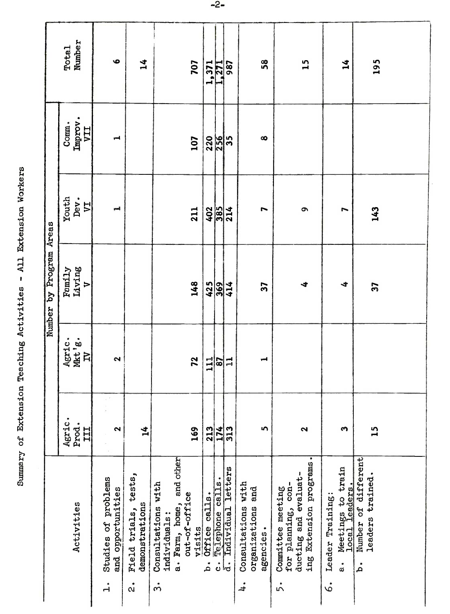| $\mathbf{I}$ |
|--------------|
|              |
|              |
|              |
|              |
|              |
|              |

|                         | <b>Total</b><br>Number                   | ٠                                                     | $\mathbf{1}^4$                                 |                                                                                       | 707                     | 1,371                 | 271                       | 987                         | 58                                                                   | $\overline{1}$                                                                                   | $\mathbf{1}^4$                                                                                 | 195                                          |  |
|-------------------------|------------------------------------------|-------------------------------------------------------|------------------------------------------------|---------------------------------------------------------------------------------------|-------------------------|-----------------------|---------------------------|-----------------------------|----------------------------------------------------------------------|--------------------------------------------------------------------------------------------------|------------------------------------------------------------------------------------------------|----------------------------------------------|--|
|                         | Improv.<br>Comm.<br>IIA                  | ᆋ                                                     |                                                |                                                                                       | 107                     | 220                   | 256                       | 5                           | œ                                                                    |                                                                                                  |                                                                                                |                                              |  |
|                         | Youth<br>Dev.<br>$\overline{\mathbf{L}}$ | إسبر                                                  |                                                |                                                                                       | 211                     |                       | $rac{285}{3814}$          |                             | L                                                                    | $\sigma$                                                                                         | ∼                                                                                              | 143                                          |  |
| Number by Program Areas | Family<br>Living<br>$\triangleright$     |                                                       |                                                |                                                                                       | 148                     |                       | $rac{425}{369}$           |                             | 57                                                                   | ∢                                                                                                | 4                                                                                              | 57                                           |  |
|                         | Agric.<br>Mkt'g.<br>$\overline{a}$       | 2                                                     |                                                |                                                                                       | 72                      | $\frac{111}{1}$       |                           | $\frac{2}{11}$              | ᆏ                                                                    |                                                                                                  |                                                                                                |                                              |  |
|                         | Agric.<br>Prod.<br>H                     | $\mathbf{\tilde{z}}$                                  | 14                                             |                                                                                       | 169                     | 213                   |                           | $\frac{174}{313}$           | 5                                                                    | 2                                                                                                | S                                                                                              | $\mathbf{u}$                                 |  |
|                         | Activities                               | Studies of problems<br>and opportunities<br>$\dot{1}$ | tests,<br>demonstrations<br>Field trials,<br>å | and other<br>Consultations with<br>Farm, home,<br>individuals:<br>.<br>ದ<br>$\dot{5}$ | out-of-office<br>visits | calls.<br>Office<br>á | calls.<br>Telephone<br>ပံ | letters<br>Individual<br>l. | with<br>and<br>organizations<br>Consultations<br>agencies.<br>$\div$ | ing Extension programs.<br>ducting and evaluat-<br>for planning, con-<br>Committee meeting<br>5, | Meetings to train<br>local leaders.<br>Leader Training:<br>$\frac{1}{\alpha}$<br>$\dot{\circ}$ | Number of different<br>leaders trained.<br>á |  |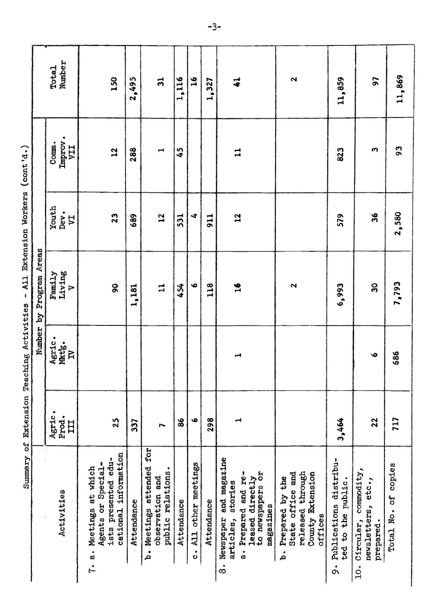| ,<br>.                          |  |
|---------------------------------|--|
|                                 |  |
|                                 |  |
|                                 |  |
|                                 |  |
|                                 |  |
|                                 |  |
|                                 |  |
| $\vdots$                        |  |
|                                 |  |
|                                 |  |
| - 12-4-4-5-1<br>ight in the sea |  |
|                                 |  |
|                                 |  |
|                                 |  |
|                                 |  |
|                                 |  |
|                                 |  |
|                                 |  |
|                                 |  |
|                                 |  |
|                                 |  |
|                                 |  |
|                                 |  |
| $\frac{1}{2}$                   |  |
|                                 |  |
| ;                               |  |
|                                 |  |
|                                 |  |
|                                 |  |
|                                 |  |

|                                                                                                                                                        |                      |                                   | Number by Program Areas |                    |                                |                        |
|--------------------------------------------------------------------------------------------------------------------------------------------------------|----------------------|-----------------------------------|-------------------------|--------------------|--------------------------------|------------------------|
| Activities                                                                                                                                             | Agric.<br>Prod.<br>H | Agric.<br>Mktg.<br>$\overline{B}$ | Living<br>Family<br>Þ   | Youth<br>Dev.<br>Ę | Improv.<br>Comm.<br><b>IIA</b> | Number<br><b>Total</b> |
| cational information<br>ists presented edu-<br>or Special-<br>7. a. Meetings at which<br>Agents                                                        | 25                   |                                   | 90                      | 23                 | $\overline{12}$                | 150                    |
| Attendance                                                                                                                                             | 337                  |                                   | 1,181                   | 689                | 288                            | 2,495                  |
| b. Meetings attended for<br>public relations.<br>and<br>observation                                                                                    | $\blacksquare$       |                                   | $\mathbf{I}$            | $\overline{12}$    | $\overline{\phantom{0}}$       | $\overline{5}$         |
| Attendance                                                                                                                                             | 86                   |                                   | 454                     | 531                | 45                             | 1,116                  |
| All other meetings<br>$\ddot{\circ}$                                                                                                                   | $\bullet$            |                                   | Ф                       | 4                  |                                | $\frac{6}{1}$          |
| Attendance                                                                                                                                             | 298                  |                                   | 118                     | 911                |                                | 1,327                  |
| and magazine<br>to newspapers or<br>Prepared and re-<br>directly<br>stories<br>magazines<br>Newspaper<br>leased<br>articles,<br>$\dot{\tilde{\sigma}}$ | ᆏ                    | $\overline{\phantom{a}}$          | 16                      | 12                 | $\mathbf{1}$                   | $\ddot{\bullet}$       |
| through<br>County Extension<br>State office and<br>Prepared by the<br>released<br>offices<br>.<br>م                                                    |                      |                                   | $\sim$                  |                    |                                | 2                      |
| Publications distribu-<br>the public.<br>$\mathfrak{g}$<br>ted                                                                                         | 3,464                |                                   | 6,993                   | 579                | 823                            | ,859<br>$\mathbf{I}$   |
| Circular, commodity,<br>newsletters, etc.,<br>prepared.                                                                                                | 22                   | $\bullet$                         | $\mathbf{S}$            | 36                 | S                              | 56                     |
| Total No. of copies                                                                                                                                    | 717                  | 686                               | 1,793<br>$\blacksquare$ | 2,580              | co<br>O                        | 11,869                 |
|                                                                                                                                                        |                      |                                   |                         |                    |                                |                        |
|                                                                                                                                                        |                      |                                   |                         |                    |                                |                        |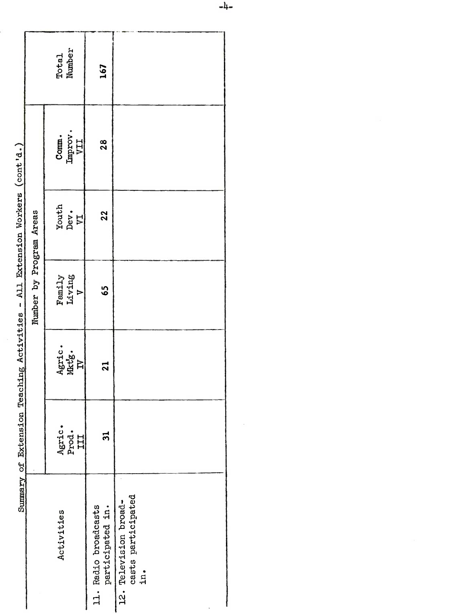|                         | Total<br>Number                                                                 | 167                                      |                                                    |
|-------------------------|---------------------------------------------------------------------------------|------------------------------------------|----------------------------------------------------|
|                         | $\begin{array}{c} \texttt{Comm.}\\ \texttt{Improv.}\\ \texttt{VII} \end{array}$ | 28                                       |                                                    |
|                         | Youth<br>Dev.<br>VI                                                             | 22                                       |                                                    |
| Number by Program Areas | Family<br>Living<br>V                                                           | 65                                       |                                                    |
| o<br>!                  | Agric.<br>Mktg.<br>IV                                                           | $\overline{a}$                           |                                                    |
| ,                       | Agric.<br>Prod.<br>III                                                          | $\overline{\mathbf{a}}$                  |                                                    |
| 5.1                     | Activities                                                                      | 11. Radio broadcasts<br>participated in. | casts participated<br>12. Television broad-<br>in. |

Summary of Extension Teaching Activities - All Extension Workers (cont'd.)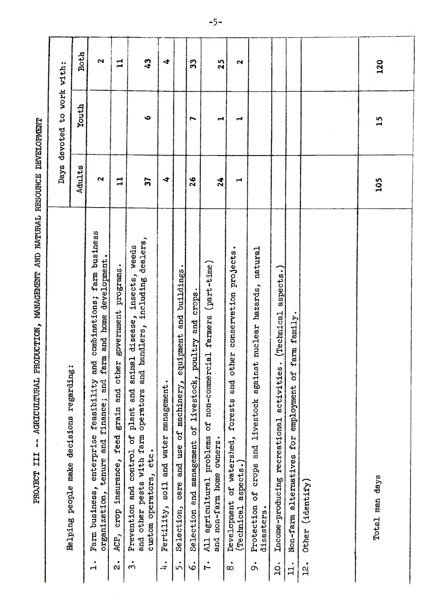|                                                                                                                                                                                                       |                | Days devoted to work with: |                            |
|-------------------------------------------------------------------------------------------------------------------------------------------------------------------------------------------------------|----------------|----------------------------|----------------------------|
| Helping people make decisions regarding:                                                                                                                                                              | Adults         | Youth                      | Both                       |
| farm business<br>farm and home development.<br>combinations;<br>and<br>Farm business, enterprise issues; and manner and rimance; and<br>$\dot{1}$                                                     | 2              |                            | 2                          |
| ACP, crop insurance, feed grain and other government programs.<br>.<br>N                                                                                                                              | $\mathbf{u}$   |                            | $\mathbf{1}$               |
| including dealers,<br>weeds<br>insects,<br>animal disease,<br>and handlers,<br>Prevention and control of plant and<br>other pests with farm operators<br>custom operators, etc.<br>and<br>$\dot{3}$ . | 57             | O                          | $\boldsymbol{\mathcal{L}}$ |
| Fertility, soil and water management.<br>$\ddot{ }$                                                                                                                                                   | 4              |                            | 4                          |
| equipment and buildings<br>Selection, care and use of machinery,<br>5.                                                                                                                                |                |                            |                            |
| , poultry and crops<br>Selection and management of livestock<br>ė                                                                                                                                     | $\frac{26}{5}$ | r                          | ၛၟ                         |
| agricultural problems of non-commercial farmers (part-time)<br>and non-farm home owners.<br>$\overline{41}$<br>ŗ                                                                                      | 24             | ⊣                          | 25                         |
| other conservation projects.<br>Development of watershed, forests and<br>$($ Technical aspects.)<br>$\dot{\circ}$                                                                                     | ⊣              | ⊣                          | 2                          |
| nuclear hazards, natural<br>Protection of crops and livestock against<br>disasters.<br>å                                                                                                              |                |                            |                            |
| a <sub>spects.</sub><br>(Technical<br>activities.<br>Income-producing recreational<br>$\overline{10}$ .                                                                                               |                |                            |                            |
| of farm family.<br>Non-farm alternatives for employment<br>$\dot{\mathbf{u}}$ .                                                                                                                       |                |                            |                            |
| Other (identify)<br>12.                                                                                                                                                                               |                |                            |                            |
|                                                                                                                                                                                                       |                |                            |                            |
| Total man days                                                                                                                                                                                        | 105            | 15                         | 120                        |
|                                                                                                                                                                                                       |                |                            |                            |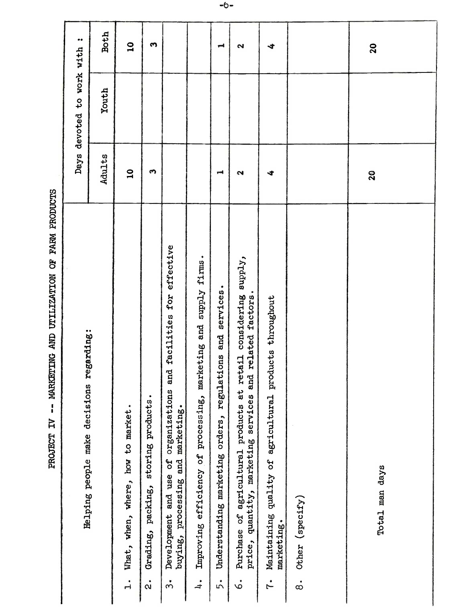|                                            | $\bullet \bullet$<br>with                | Both   | $\overline{\mathbf{u}}$           | S                     |                                                  |                                     | $\overline{\phantom{a}}$        | $\mathbf{r}$                                                  |                                                   | 4 |                 |
|--------------------------------------------|------------------------------------------|--------|-----------------------------------|-----------------------|--------------------------------------------------|-------------------------------------|---------------------------------|---------------------------------------------------------------|---------------------------------------------------|---|-----------------|
|                                            | to work                                  | Youth  |                                   |                       |                                                  |                                     |                                 |                                                               |                                                   |   |                 |
|                                            | Days devoted                             |        |                                   |                       |                                                  |                                     |                                 |                                                               |                                                   |   |                 |
|                                            |                                          | Adults | $\overline{a}$                    | $\boldsymbol{\omega}$ |                                                  |                                     | $\overline{\phantom{a}}$        | $\mathbf{\Omega}$                                             |                                                   | 4 |                 |
|                                            |                                          |        |                                   |                       |                                                  |                                     |                                 |                                                               |                                                   |   |                 |
| MARKETING AND UTILIZATION OF FARM PRODUCTS |                                          |        |                                   |                       | effective                                        |                                     |                                 |                                                               |                                                   |   |                 |
|                                            |                                          |        |                                   |                       | for                                              | supply firms.                       | services.                       | considering supply,                                           |                                                   |   |                 |
|                                            |                                          |        |                                   |                       | facilities                                       | marketing and                       | and                             | and related factors.                                          | products throughout                               |   |                 |
|                                            |                                          |        |                                   |                       | and<br>ú                                         |                                     | regulations                     | at retail                                                     |                                                   |   |                 |
|                                            |                                          |        |                                   |                       | organization                                     |                                     |                                 |                                                               |                                                   |   |                 |
| PROJECT IV                                 | Helping people make decisions regarding: |        |                                   | storing products.     | Jo                                               |                                     |                                 | se of agricultural products a<br>quantity, marketing services |                                                   |   |                 |
|                                            |                                          |        |                                   |                       | use<br>and                                       |                                     |                                 |                                                               |                                                   |   |                 |
|                                            |                                          |        | What, when, where, how to market. | Grading, packing,     | buying, processing and marketing.<br>Development | Improving efficiency of processing, | Understanding marketing orders, | Purchase<br>price,                                            | Maintaining quality of agricultural<br>marketing. |   | Other (specify) |
|                                            |                                          |        |                                   | $\ddot{\alpha}$       | $\dot{3}$                                        | $\div$                              | 5.                              | $\dot{\circ}$                                                 | $\ddot{r}$                                        |   | $\dot{\circ}$   |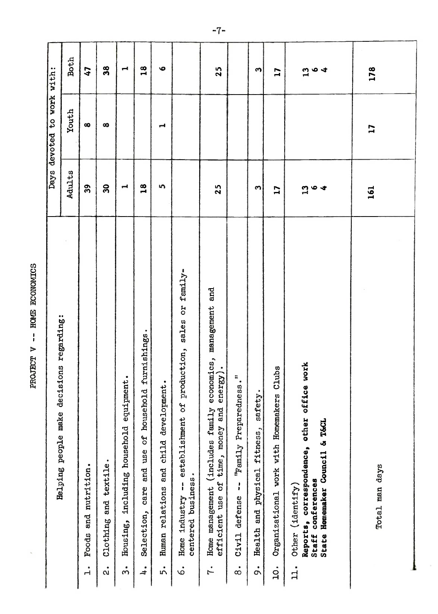| i           |
|-------------|
| Ş           |
| <b>CONT</b> |
| ;           |
| i           |
| ì           |

| <b>Both</b><br>38<br>18<br>$\bullet$<br>47<br>Н<br>devoted to work with:<br>25<br>S<br>Youth<br>$\infty$<br>$\infty$<br>⊣<br>Days<br>Adults<br>$\mathbf{a}$<br>39<br>18<br>5<br>$\overline{\phantom{0}}$<br>25<br>S<br>$f$ amily-<br>and<br>č<br>management<br>sions regarding:<br>sales<br>٠<br>furnishings<br>establishment of production,<br>economics,<br>energy).<br>"Family Preparedness."<br>equipment.<br>Human relations and child development.<br>deci<br>care and use of household<br>safety.<br>time, money and<br>(includes family<br>Helping people make<br>including household<br>Health and physical fitness,<br>Clothing and textile.<br>and nutrition.<br>centered business.<br>efficient use of<br>$\mathbf{I}$<br>$\mathbf{I}$<br>Home management<br>industry<br>defense<br>Selection,<br>Housing,<br>Civil<br>Foods<br>Home<br>5.<br>$\dot{\infty}$<br>$\dot{\alpha}$<br>$\div$<br>$\ddot{r}$<br>$\dot{\circ}$<br>$\dot{3}$<br>é<br>$\vec{r}$ |
|--------------------------------------------------------------------------------------------------------------------------------------------------------------------------------------------------------------------------------------------------------------------------------------------------------------------------------------------------------------------------------------------------------------------------------------------------------------------------------------------------------------------------------------------------------------------------------------------------------------------------------------------------------------------------------------------------------------------------------------------------------------------------------------------------------------------------------------------------------------------------------------------------------------------------------------------------------------------|
|                                                                                                                                                                                                                                                                                                                                                                                                                                                                                                                                                                                                                                                                                                                                                                                                                                                                                                                                                                    |
|                                                                                                                                                                                                                                                                                                                                                                                                                                                                                                                                                                                                                                                                                                                                                                                                                                                                                                                                                                    |
|                                                                                                                                                                                                                                                                                                                                                                                                                                                                                                                                                                                                                                                                                                                                                                                                                                                                                                                                                                    |
|                                                                                                                                                                                                                                                                                                                                                                                                                                                                                                                                                                                                                                                                                                                                                                                                                                                                                                                                                                    |
|                                                                                                                                                                                                                                                                                                                                                                                                                                                                                                                                                                                                                                                                                                                                                                                                                                                                                                                                                                    |
|                                                                                                                                                                                                                                                                                                                                                                                                                                                                                                                                                                                                                                                                                                                                                                                                                                                                                                                                                                    |
|                                                                                                                                                                                                                                                                                                                                                                                                                                                                                                                                                                                                                                                                                                                                                                                                                                                                                                                                                                    |
|                                                                                                                                                                                                                                                                                                                                                                                                                                                                                                                                                                                                                                                                                                                                                                                                                                                                                                                                                                    |
|                                                                                                                                                                                                                                                                                                                                                                                                                                                                                                                                                                                                                                                                                                                                                                                                                                                                                                                                                                    |
|                                                                                                                                                                                                                                                                                                                                                                                                                                                                                                                                                                                                                                                                                                                                                                                                                                                                                                                                                                    |
|                                                                                                                                                                                                                                                                                                                                                                                                                                                                                                                                                                                                                                                                                                                                                                                                                                                                                                                                                                    |
| $\overline{17}$<br>17<br>Clubs<br>Organizational work with Homemakers<br>$\overline{10}$ .                                                                                                                                                                                                                                                                                                                                                                                                                                                                                                                                                                                                                                                                                                                                                                                                                                                                         |
| $\frac{3}{6}$<br>$\blacktriangleleft$<br>1964<br>Reports, correspondence, other office work<br>State Homemaker Council & T&CL<br>Staff conferences<br>Other (identify)<br>$\mathbf{1}$ .                                                                                                                                                                                                                                                                                                                                                                                                                                                                                                                                                                                                                                                                                                                                                                           |
| 178<br>17<br>161<br>Total man days                                                                                                                                                                                                                                                                                                                                                                                                                                                                                                                                                                                                                                                                                                                                                                                                                                                                                                                                 |
|                                                                                                                                                                                                                                                                                                                                                                                                                                                                                                                                                                                                                                                                                                                                                                                                                                                                                                                                                                    |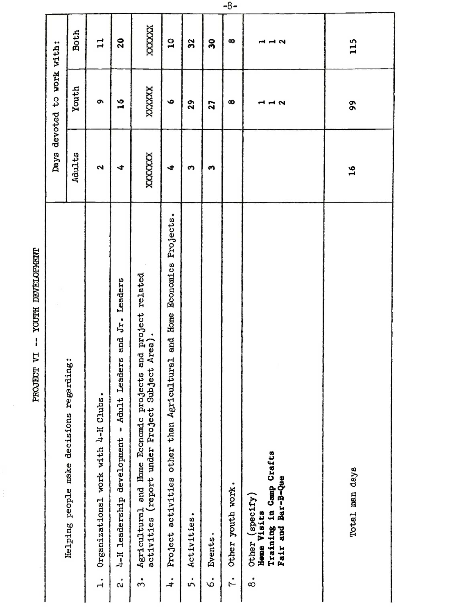|                                      |                       | <b>Both</b>                              | $\mathbf{I}$                        | 20                                                                              | XXXXXX                                                                                                                                             | $\Omega$                                                                                                 | 32               | $\boldsymbol{30}$  | $\infty$                        | 11 11 N                                                                                          | 115                       |  |
|--------------------------------------|-----------------------|------------------------------------------|-------------------------------------|---------------------------------------------------------------------------------|----------------------------------------------------------------------------------------------------------------------------------------------------|----------------------------------------------------------------------------------------------------------|------------------|--------------------|---------------------------------|--------------------------------------------------------------------------------------------------|---------------------------|--|
|                                      | devoted to work with: | Youth                                    | $\bullet$                           | $\frac{6}{1}$                                                                   | XXXXXX                                                                                                                                             | $\bullet$                                                                                                | 29               | 27                 | œ                               | 112                                                                                              | $\boldsymbol{\mathsf{S}}$ |  |
|                                      | Days                  | Adults                                   | $\mathbf{\Omega}$                   | 4                                                                               | XXXXXXX                                                                                                                                            | $\blacktriangleleft$                                                                                     | S                | $\bullet$          |                                 |                                                                                                  | $\overline{16}$           |  |
| YOUTH DEVELOPMENT<br>I<br>PROJECT VI |                       | Helping people make decisions regarding: | Organizational work with 4-H Clubs. | and Jr. Leaders<br>4-H leadership development - Adult Leaders<br>$\mathring{a}$ | Agricultural and Home Economic projects and project related<br>activities (report under Project Subject Area).<br>Agricultural<br>$\dot{\tilde{}}$ | Projects.<br><b>Economics</b><br>Home<br>and<br>Project activities other than Agricultural<br>$\ddot{ }$ | Activities.<br>" | Events.<br>.<br>ما | Other youth work.<br>$\ddot{1}$ | Training in Camp Crafts<br>Fair and Bar-B-Que<br>Other (specify)<br>Home Visits<br>$\dot{\circ}$ | Total man days            |  |

 $-8-$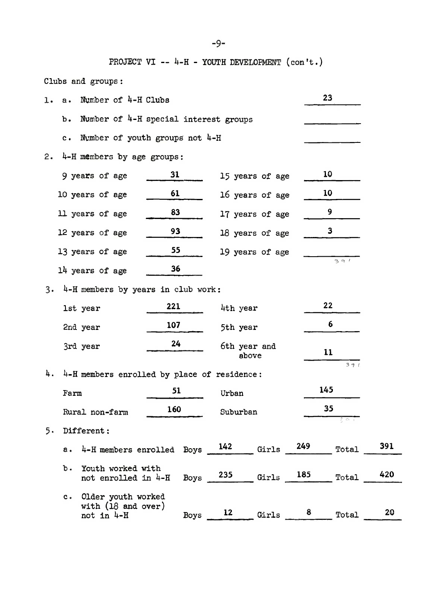PROJECT VI --  $h$ -H - YOUTH DEVELOPMENT (con't.)

Clubs and groups:

| ı.        | $a \cdot$                                   | Number of 4-H Clubs                                                      |                 |     |                     |                    |  | 23                           |     |  |  |  |  |  |  |
|-----------|---------------------------------------------|--------------------------------------------------------------------------|-----------------|-----|---------------------|--------------------|--|------------------------------|-----|--|--|--|--|--|--|
|           | Number of 4-H special interest groups<br>b. |                                                                          |                 |     |                     |                    |  |                              |     |  |  |  |  |  |  |
|           |                                             | c. Number of youth groups not 4-H                                        |                 |     |                     |                    |  |                              |     |  |  |  |  |  |  |
| 2.        |                                             | 4-H members by age groups:                                               |                 |     |                     |                    |  |                              |     |  |  |  |  |  |  |
|           |                                             | 9 years of age                                                           | 31              |     |                     | 15 years of age    |  | 10                           |     |  |  |  |  |  |  |
|           |                                             | 10 years of age                                                          | 61              |     |                     | 16 years of age    |  | 10                           |     |  |  |  |  |  |  |
|           |                                             | 11 years of age                                                          | 83              |     |                     | 17 years of age    |  | 9                            |     |  |  |  |  |  |  |
|           |                                             | 12 years of age                                                          | 18 years of age |     | 3                   |                    |  |                              |     |  |  |  |  |  |  |
|           |                                             | 13 years of age                                                          | 19 years of age |     |                     |                    |  |                              |     |  |  |  |  |  |  |
|           |                                             | $14$ years of age                                                        |                 | 391 |                     |                    |  |                              |     |  |  |  |  |  |  |
| $3 \cdot$ | 36<br>4-H members by years in club work:    |                                                                          |                 |     |                     |                    |  |                              |     |  |  |  |  |  |  |
|           |                                             | 1st year                                                                 | 221             |     |                     | 22<br>4th year     |  |                              |     |  |  |  |  |  |  |
|           |                                             | 2nd year                                                                 | 107             |     |                     | 6<br>5th year      |  |                              |     |  |  |  |  |  |  |
|           |                                             | 3rd year                                                                 | 24              |     |                     | 6th year and<br>11 |  |                              |     |  |  |  |  |  |  |
|           |                                             |                                                                          |                 |     | above               |                    |  | 391                          |     |  |  |  |  |  |  |
| 4.        |                                             | 4-H members enrolled by place of residence:                              |                 |     |                     |                    |  |                              |     |  |  |  |  |  |  |
|           | Farm                                        |                                                                          | 51              |     | Urban               |                    |  | 145                          |     |  |  |  |  |  |  |
|           |                                             | Rural non-farm                                                           | 160             |     | Suburban            |                    |  | 35                           |     |  |  |  |  |  |  |
| 5.        |                                             | Different:                                                               |                 |     |                     |                    |  | કલા                          |     |  |  |  |  |  |  |
|           |                                             | a. $4-H$ members enrolled Boys $\frac{142}{142}$ Girls $\frac{249}{141}$ |                 |     |                     |                    |  | Total                        | 391 |  |  |  |  |  |  |
|           | ъ.                                          | Youth worked with                                                        |                 |     |                     |                    |  |                              | 420 |  |  |  |  |  |  |
|           |                                             | not enrolled in 4-H                                                      |                 |     |                     |                    |  | Boys $235$ Girls $185$ Total |     |  |  |  |  |  |  |
|           |                                             | c. Older youth worked<br>with $(18$ and over)                            |                 |     |                     |                    |  |                              |     |  |  |  |  |  |  |
|           |                                             | not in 4-H                                                               |                 |     | Boys $12$ Girls $8$ |                    |  | Total                        | 20  |  |  |  |  |  |  |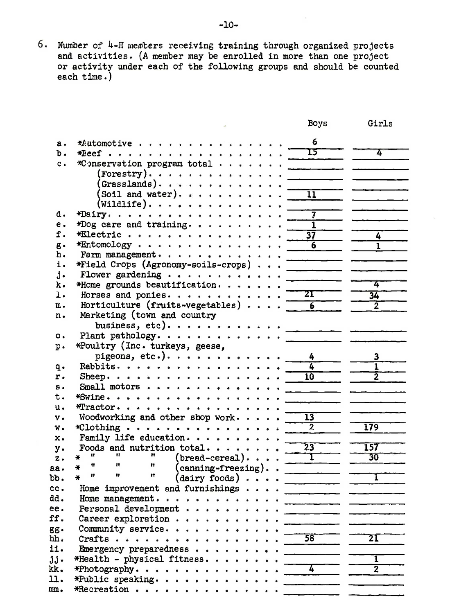6. Number of 4-H members receiving training through organized projects and activities. (A member may be enrolled in more than one project or activity under each of the following groups and should be counted each time.)

|                |                                                                                              | Boys                                       | Girls                                                                                 |
|----------------|----------------------------------------------------------------------------------------------|--------------------------------------------|---------------------------------------------------------------------------------------|
| а.             | $*$ Automotive                                                                               | 6                                          |                                                                                       |
| ъ.             | $* \t\text{E} e e f \t\ldots \t\ldots \t\ldots \t\ldots \t\ldots$                            | 15                                         | 4                                                                                     |
| $\mathbf{c}$ . | *Conservation program total                                                                  |                                            |                                                                                       |
|                | $( \text{Forestry}) \cdot \cdot \cdot \cdot \cdot \cdot \cdot \cdot \cdot \cdot \cdot \cdot$ |                                            |                                                                                       |
|                | (Grasslands)                                                                                 |                                            |                                                                                       |
|                | (Soil and water). $\cdots$                                                                   | $\overline{11}$                            |                                                                                       |
|                | $(\texttt{Willdlife})\ldots$                                                                 |                                            |                                                                                       |
| d.             | *Dairy.                                                                                      | $\overline{7}$                             |                                                                                       |
| е.             | *Dog care and training.                                                                      | ī                                          |                                                                                       |
| f.             | *Electric                                                                                    | $\overline{37}$                            | 4                                                                                     |
| g.             | $*$ Entomology                                                                               | $6 \overline{6}$                           | $\mathbf{1}$                                                                          |
| h.             | Farm management.                                                                             | <u> 1989 - Jan James James Barbara, ma</u> |                                                                                       |
| i.             | *Field Crops (Agronomy-soils-crops)                                                          |                                            |                                                                                       |
| $\mathbf{j}$ . | Flower gardening $\cdots$                                                                    |                                            |                                                                                       |
| k.             | *Home grounds beautification.                                                                |                                            | 4                                                                                     |
| ı.             | Horses and ponies.                                                                           | ${\bf Z}\mathbf{\Gamma}$                   | $\overline{34}$                                                                       |
| m.             | Horticulture (fruits-vegetables) $\ldots$ .                                                  | $\overline{6}$                             | $\overline{2}$                                                                        |
| n.             | Marketing (town and country                                                                  |                                            |                                                                                       |
|                | business, etc).                                                                              |                                            |                                                                                       |
| о.             | Plant pathology. $\cdots$                                                                    |                                            |                                                                                       |
| $p$ .          | *Poultry (Inc. turkeys, geese,                                                               |                                            |                                                                                       |
|                | pigeons, etc.). $\cdots$ .                                                                   |                                            | 3                                                                                     |
| $\mathbf{q}$ . | Rabbits.                                                                                     | 4                                          | 1                                                                                     |
| r.             | Sheep.                                                                                       | $\overline{10}$                            |                                                                                       |
| s.             | Small motors                                                                                 |                                            |                                                                                       |
| t.             | $*$ Swine.                                                                                   |                                            |                                                                                       |
| u.             | $*$ Tractor.                                                                                 |                                            |                                                                                       |
| v.             | Woodworking and other shop work. $\cdots$                                                    | $\overline{13}$                            |                                                                                       |
| w.             | *Clothing                                                                                    | $\overline{2}$                             | 179                                                                                   |
| x.             | Family life education.                                                                       |                                            |                                                                                       |
| $y$ .          | Foods and nutrition total<br>Ħ<br>Ħ                                                          | $\overline{23}$                            | 157                                                                                   |
| z.             | $(\text{bread-cerea}). \ldots$ .<br>¥<br>$\mathbf{r}$<br>11<br>11                            | $\mathbf{T}$                               | 30                                                                                    |
| $aa \cdot$     | $(\text{coming-freezing}).$ .<br>₩<br>n<br>Ħ<br>Ħ                                            |                                            | ĩ                                                                                     |
| bb.            | $(dairy$ foods) $\ldots$ .<br>¥                                                              |                                            |                                                                                       |
| cc.            | Home improvement and furnishings $\cdots$                                                    |                                            |                                                                                       |
| dd.<br>ee.     | Home management.                                                                             |                                            |                                                                                       |
| ff.            | Personal development                                                                         | and the company's                          | $\frac{1}{2}$ and $\frac{1}{2}$ and $\frac{1}{2}$ and $\frac{1}{2}$ and $\frac{1}{2}$ |
|                | Career exploration<br>Community service.                                                     |                                            | <u> The Common State Common Sta</u>                                                   |
| gg.<br>hh.     | $Craths$ .                                                                                   | 58                                         | $\overline{21}$                                                                       |
| ii.            | Emergency preparedness                                                                       |                                            |                                                                                       |
| jj.            | *Health - physical fitness.                                                                  |                                            | ī                                                                                     |
| kk.            | *Photography. $\cdots$                                                                       | 4                                          | $\overline{2}$                                                                        |
| 11.            | *Public speaking                                                                             |                                            |                                                                                       |
| mn.            | $*$ Recreation                                                                               | <b>Contract Contract</b>                   |                                                                                       |
|                |                                                                                              |                                            |                                                                                       |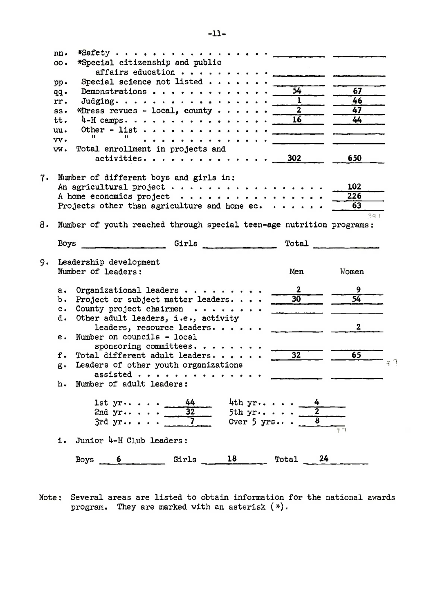|    | nn.<br>00.<br>pp.<br>qq.<br>rr.<br>$SS+$<br>tt.<br>uu.<br>$vv \cdot$<br>ww. | *Special citizenship and public<br>affairs education<br>Special science not listed $\cdots$ .<br>Demonstrations<br>Judging.<br>*Dress revues - local, county<br>$4-H$ camps.<br>Other - list $\cdots$<br>11<br>.<br>Total enrollment in projects and<br>activities. | $\overline{54}$<br>$\overline{1}$<br>$\overline{2}$<br>$\overline{16}$<br>302 | 67<br>46<br>47<br>44<br>650 |  |
|----|-----------------------------------------------------------------------------|---------------------------------------------------------------------------------------------------------------------------------------------------------------------------------------------------------------------------------------------------------------------|-------------------------------------------------------------------------------|-----------------------------|--|
| 7. |                                                                             | Number of different boys and girls in:<br>An agricultural project<br>A home economics project $\cdots$<br>Projects other than agriculture and home ec. $\cdots$                                                                                                     |                                                                               | 102<br>226<br>63            |  |
| 8. |                                                                             | Number of youth reached through special teen-age nutrition programs:                                                                                                                                                                                                |                                                                               | 391                         |  |
|    | Boys                                                                        | Girls                                                                                                                                                                                                                                                               | Total                                                                         |                             |  |
| 9. |                                                                             | Leadership development<br>Number of leaders:                                                                                                                                                                                                                        | Men                                                                           | Women                       |  |
|    | $a \cdot$<br>ъ.<br>$c_{\bullet}$<br>d.                                      | Organizational leaders<br>Project or subject matter leaders<br>County project chairmen<br>Other adult leaders, i.e., activity<br>leaders, resource leaders.                                                                                                         | $\mathbf{2}$<br>$\overline{30}$                                               | 9<br>54<br>$\mathbf{2}$     |  |
|    | е.                                                                          | Number on councils - local<br>sponsoring committees. $\cdots$                                                                                                                                                                                                       |                                                                               |                             |  |
|    | f.<br>$g \cdot$<br>h.                                                       | Total different adult leaders.<br>Leaders of other youth organizations<br>Number of adult leaders:                                                                                                                                                                  | $\overline{32}$                                                               | $6\overline{5}$             |  |
|    |                                                                             | 44<br>4th $yr$ .<br>$1st$ $yr$<br>32<br>2nd $yr$<br>5th $yr$ .<br>7<br>Over $5$ yrs<br>3rdyr                                                                                                                                                                        | 4<br>$\overline{\mathbf{2}}$<br>$\overline{\bf 8}$                            | 97                          |  |
|    | i.                                                                          | Junior 4-H Club leaders:                                                                                                                                                                                                                                            |                                                                               |                             |  |
|    |                                                                             | 18<br>Girls<br>Boys<br>6                                                                                                                                                                                                                                            | 24<br>Total                                                                   |                             |  |

Note: Several areas are listed to obtain information for the national awards program. They are marked with an asterisk (\*).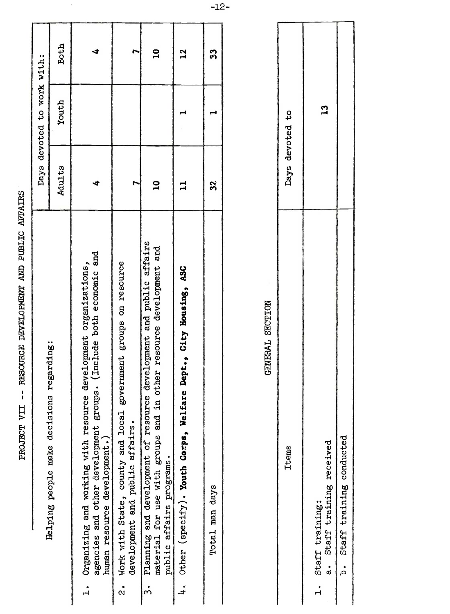| <b>11145</b><br>דרסו.<br>ד |
|----------------------------|
| i                          |
| $\vdots$                   |
| さくけいてい                     |
| ļ                          |
|                            |
|                            |

| regarding:<br>Helping people make decisions                                                                                                                                     |              | Days devoted to work with: |              |
|---------------------------------------------------------------------------------------------------------------------------------------------------------------------------------|--------------|----------------------------|--------------|
|                                                                                                                                                                                 | Adults       | Youth                      | <b>Both</b>  |
| ps. (Include both economic and<br>development organizations,<br>1. Organizing and working with resource<br>agencies and other development group<br>human resource development.) |              |                            |              |
| Work with State, county and local government groups on resource<br>development and public affairs.                                                                              |              |                            |              |
| development and public affairs<br>other resource development and<br>3. Planning and development of resource<br>material for use with groups and in<br>public affairs programs.  | $\mathbf{a}$ |                            | $\mathbf{a}$ |
| 4. Other (specify). Youth Corps, Welfare Dept., City Housing, ASC                                                                                                               |              |                            | 2            |
| Total man days                                                                                                                                                                  | 32           |                            | ్ల           |
|                                                                                                                                                                                 |              |                            |              |

## GENERAL SECTION

| Days devoted to |                                                  |                             |
|-----------------|--------------------------------------------------|-----------------------------|
| Items           | a. Staff training received<br>1. Staff training: | b. Staff training conducted |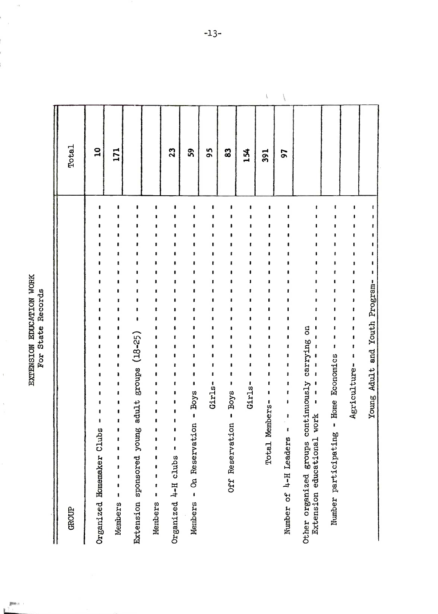EXTENSION EDUCATION WORK<br>For State Records

 $\frac{1}{2}$ 

 $\begin{bmatrix} 1 & 0 & 0 \\ 0 & 0 & 0 \\ 0 & 0 & 0 \\ 0 & 0 & 0 \\ 0 & 0 & 0 \\ 0 & 0 & 0 \\ 0 & 0 & 0 \\ 0 & 0 & 0 \\ 0 & 0 & 0 \\ 0 & 0 & 0 & 0 \\ 0 & 0 & 0 & 0 \\ 0 & 0 & 0 & 0 \\ 0 & 0 & 0 & 0 \\ 0 & 0 & 0 & 0 & 0 \\ 0 & 0 & 0 & 0 & 0 \\ 0 & 0 & 0 & 0 & 0 \\ 0 & 0 & 0 & 0 & 0 & 0 \\ 0 & 0 & 0 & 0 & 0 & 0 \\ 0 &$ Į.

÷

| <b>GROUP</b>                                                                          | Total           |                         |
|---------------------------------------------------------------------------------------|-----------------|-------------------------|
| Organized Homemaker Clubs                                                             | $\overline{10}$ |                         |
| t<br>1<br>Members                                                                     | 171             |                         |
| Extension sponsored young adult groups (18-25)                                        |                 |                         |
| ŧ<br>$\mathbf{I}$<br>$\pmb{\ast}$<br>$\pmb{\mathsf{I}}$<br>Members                    |                 |                         |
| 1<br>ı<br>ţ<br>Organized 4-H clubs                                                    | 23              |                         |
| Members - On Reservation - Boys                                                       | 59              |                         |
| Girls-                                                                                | 95              |                         |
| ı<br>$-$ Boys<br>Off Reservation                                                      | 83              |                         |
| Girls-                                                                                | 154             |                         |
| Members-<br><b>Total</b>                                                              | 391             | $\overline{\mathbf{r}}$ |
| 1<br>ı<br>ł<br>ı<br>ı<br>۱<br>ı<br>Number of 4-H Leaders                              | 56              |                         |
| continuously carrying on<br>ı<br>Extension educational work<br>Other organized groups |                 |                         |
| Number participating - Home Economics                                                 |                 |                         |
| ŧ<br>Agriculture-                                                                     |                 |                         |
| Young Adult and Youth Program-                                                        |                 |                         |

 $-13-$